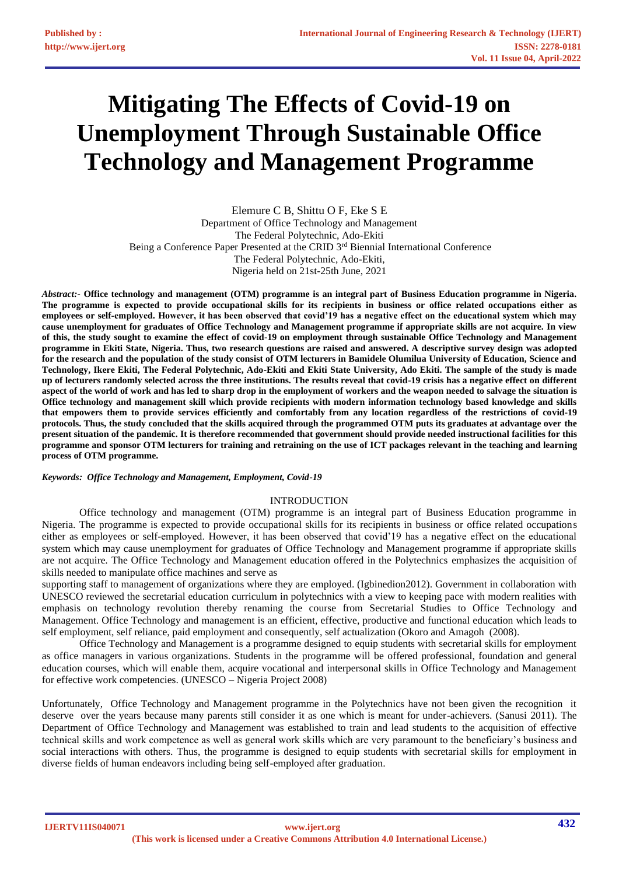# **Mitigating The Effects of Covid-19 on Unemployment Through Sustainable Office Technology and Management Programme**

Elemure C B, Shittu O F, Eke S E Department of Office Technology and Management The Federal Polytechnic, Ado-Ekiti Being a Conference Paper Presented at the CRID 3<sup>rd</sup> Biennial International Conference The Federal Polytechnic, Ado-Ekiti, Nigeria held on 21st-25th June, 2021

*Abstract:-* **Office technology and management (OTM) programme is an integral part of Business Education programme in Nigeria. The programme is expected to provide occupational skills for its recipients in business or office related occupations either as employees or self-employed. However, it has been observed that covid'19 has a negative effect on the educational system which may cause unemployment for graduates of Office Technology and Management programme if appropriate skills are not acquire. In view of this, the study sought to examine the effect of covid-19 on employment through sustainable Office Technology and Management programme in Ekiti State, Nigeria. Thus, two research questions are raised and answered. A descriptive survey design was adopted for the research and the population of the study consist of OTM lecturers in Bamidele Olumilua University of Education, Science and Technology, Ikere Ekiti, The Federal Polytechnic, Ado-Ekiti and Ekiti State University, Ado Ekiti. The sample of the study is made up of lecturers randomly selected across the three institutions. The results reveal that covid-19 crisis has a negative effect on different aspect of the world of work and has led to sharp drop in the employment of workers and the weapon needed to salvage the situation is Office technology and management skill which provide recipients with modern information technology based knowledge and skills that empowers them to provide services efficiently and comfortably from any location regardless of the restrictions of covid-19 protocols. Thus, the study concluded that the skills acquired through the programmed OTM puts its graduates at advantage over the present situation of the pandemic. It is therefore recommended that government should provide needed instructional facilities for this programme and sponsor OTM lecturers for training and retraining on the use of ICT packages relevant in the teaching and learning process of OTM programme.** 

#### *Keywords: Office Technology and Management, Employment, Covid-19*

## INTRODUCTION

Office technology and management (OTM) programme is an integral part of Business Education programme in Nigeria. The programme is expected to provide occupational skills for its recipients in business or office related occupations either as employees or self-employed. However, it has been observed that covid'19 has a negative effect on the educational system which may cause unemployment for graduates of Office Technology and Management programme if appropriate skills are not acquire. The Office Technology and Management education offered in the Polytechnics emphasizes the acquisition of skills needed to manipulate office machines and serve as

supporting staff to management of organizations where they are employed. (Igbinedion2012). Government in collaboration with UNESCO reviewed the secretarial education curriculum in polytechnics with a view to keeping pace with modern realities with emphasis on technology revolution thereby renaming the course from Secretarial Studies to Office Technology and Management. Office Technology and management is an efficient, effective, productive and functional education which leads to self employment, self reliance, paid employment and consequently, self actualization (Okoro and Amagoh (2008).

Office Technology and Management is a programme designed to equip students with secretarial skills for employment as office managers in various organizations. Students in the programme will be offered professional, foundation and general education courses, which will enable them, acquire vocational and interpersonal skills in Office Technology and Management for effective work competencies. (UNESCO – Nigeria Project 2008)

Unfortunately, Office Technology and Management programme in the Polytechnics have not been given the recognition it deserve over the years because many parents still consider it as one which is meant for under-achievers. (Sanusi 2011). The Department of Office Technology and Management was established to train and lead students to the acquisition of effective technical skills and work competence as well as general work skills which are very paramount to the beneficiary's business and social interactions with others. Thus, the programme is designed to equip students with secretarial skills for employment in diverse fields of human endeavors including being self-employed after graduation.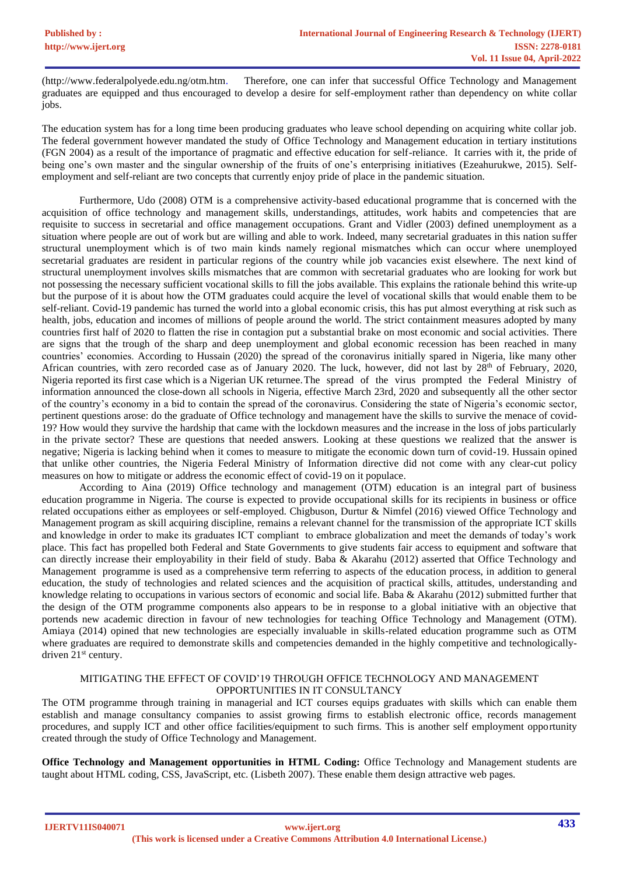(http://www.federalpolyede.edu.ng/otm.htm. Therefore, one can infer that successful Office Technology and Management graduates are equipped and thus encouraged to develop a desire for self-employment rather than dependency on white collar jobs.

The education system has for a long time been producing graduates who leave school depending on acquiring white collar job. The federal government however mandated the study of Office Technology and Management education in tertiary institutions (FGN 2004) as a result of the importance of pragmatic and effective education for self-reliance. It carries with it, the pride of being one's own master and the singular ownership of the fruits of one's enterprising initiatives (Ezeahurukwe, 2015). Selfemployment and self-reliant are two concepts that currently enjoy pride of place in the pandemic situation.

Furthermore, Udo (2008) OTM is a comprehensive activity-based educational programme that is concerned with the acquisition of office technology and management skills, understandings, attitudes, work habits and competencies that are requisite to success in secretarial and office management occupations. Grant and Vidler (2003) defined unemployment as a situation where people are out of work but are willing and able to work. Indeed, many secretarial graduates in this nation suffer structural unemployment which is of two main kinds namely regional mismatches which can occur where unemployed secretarial graduates are resident in particular regions of the country while job vacancies exist elsewhere. The next kind of structural unemployment involves skills mismatches that are common with secretarial graduates who are looking for work but not possessing the necessary sufficient vocational skills to fill the jobs available. This explains the rationale behind this write-up but the purpose of it is about how the OTM graduates could acquire the level of vocational skills that would enable them to be self-reliant. Covid-19 pandemic has turned the world into a global economic crisis, this has put almost everything at risk such as health, jobs, education and incomes of millions of people around the world. The strict containment measures adopted by many countries first half of 2020 to flatten the rise in contagion put a substantial brake on most economic and social activities. There are signs that the trough of the sharp and deep unemployment and global economic recession has been reached in many countries' economies. According to Hussain (2020) the spread of the coronavirus initially spared in Nigeria, like many other African countries, with zero recorded case as of January 2020. The luck, however, did not last by  $28<sup>th</sup>$  of February, 2020, Nigeria reported its first case which is a Nigerian UK returnee.The spread of the virus prompted the Federal Ministry of information announced the close-down all schools in Nigeria, effective March 23rd, 2020 and subsequently all the other sector of the country's economy in a bid to contain the spread of the coronavirus. Considering the state of Nigeria's economic sector, pertinent questions arose: do the graduate of Office technology and management have the skills to survive the menace of covid-19? How would they survive the hardship that came with the lockdown measures and the increase in the loss of jobs particularly in the private sector? These are questions that needed answers. Looking at these questions we realized that the answer is negative; Nigeria is lacking behind when it comes to measure to mitigate the economic down turn of covid-19. Hussain opined that unlike other countries, the Nigeria Federal Ministry of Information directive did not come with any clear-cut policy measures on how to mitigate or address the economic effect of covid-19 on it populace.

According to Aina (2019) Office technology and management (OTM) education is an integral part of business education programme in Nigeria. The course is expected to provide occupational skills for its recipients in business or office related occupations either as employees or self-employed. Chigbuson, Durtur & Nimfel (2016) viewed Office Technology and Management program as skill acquiring discipline, remains a relevant channel for the transmission of the appropriate ICT skills and knowledge in order to make its graduates ICT compliant to embrace globalization and meet the demands of today's work place. This fact has propelled both Federal and State Governments to give students fair access to equipment and software that can directly increase their employability in their field of study. Baba & Akarahu (2012) asserted that Office Technology and Management programme is used as a comprehensive term referring to aspects of the education process, in addition to general education, the study of technologies and related sciences and the acquisition of practical skills, attitudes, understanding and knowledge relating to occupations in various sectors of economic and social life. Baba & Akarahu (2012) submitted further that the design of the OTM programme components also appears to be in response to a global initiative with an objective that portends new academic direction in favour of new technologies for teaching Office Technology and Management (OTM). Amiaya (2014) opined that new technologies are especially invaluable in skills-related education programme such as OTM where graduates are required to demonstrate skills and competencies demanded in the highly competitive and technologicallydriven 21<sup>st</sup> century.

## MITIGATING THE EFFECT OF COVID'19 THROUGH OFFICE TECHNOLOGY AND MANAGEMENT OPPORTUNITIES IN IT CONSULTANCY

The OTM programme through training in managerial and ICT courses equips graduates with skills which can enable them establish and manage consultancy companies to assist growing firms to establish electronic office, records management procedures, and supply ICT and other office facilities/equipment to such firms. This is another self employment opportunity created through the study of Office Technology and Management.

**Office Technology and Management opportunities in HTML Coding:** Office Technology and Management students are taught about HTML coding, CSS, JavaScript, etc. (Lisbeth 2007). These enable them design attractive web pages.

**IJERTV11IS040071**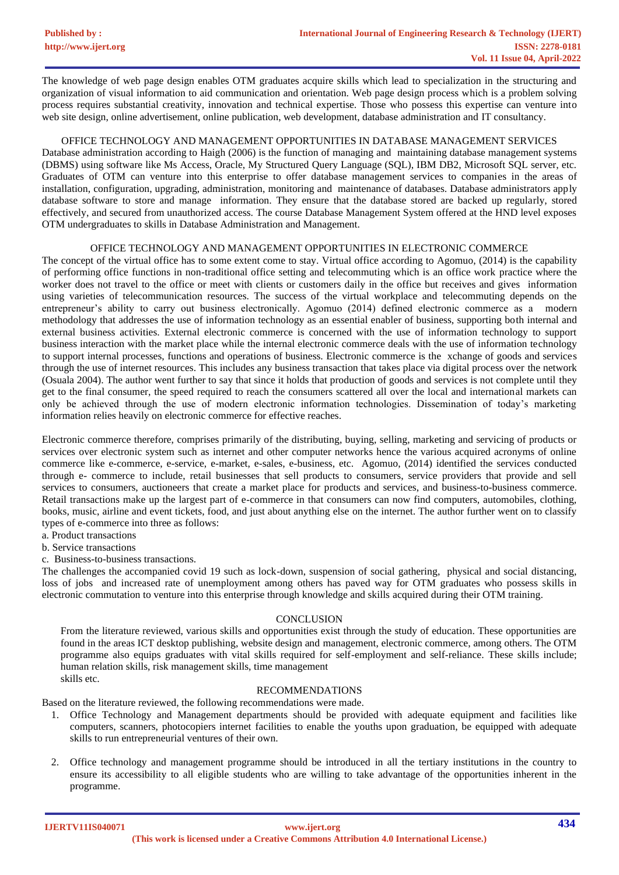The knowledge of web page design enables OTM graduates acquire skills which lead to specialization in the structuring and organization of visual information to aid communication and orientation. Web page design process which is a problem solving process requires substantial creativity, innovation and technical expertise. Those who possess this expertise can venture into web site design, online advertisement, online publication, web development, database administration and IT consultancy.

## OFFICE TECHNOLOGY AND MANAGEMENT OPPORTUNITIES IN DATABASE MANAGEMENT SERVICES

Database administration according to Haigh (2006) is the function of managing and maintaining database management systems (DBMS) using software like Ms Access, Oracle, My Structured Query Language (SQL), IBM DB2, Microsoft SQL server, etc. Graduates of OTM can venture into this enterprise to offer database management services to companies in the areas of installation, configuration, upgrading, administration, monitoring and maintenance of databases. Database administrators apply database software to store and manage information. They ensure that the database stored are backed up regularly, stored effectively, and secured from unauthorized access. The course Database Management System offered at the HND level exposes OTM undergraduates to skills in Database Administration and Management.

#### OFFICE TECHNOLOGY AND MANAGEMENT OPPORTUNITIES IN ELECTRONIC COMMERCE

The concept of the virtual office has to some extent come to stay. Virtual office according to Agomuo, (2014) is the capability of performing office functions in non-traditional office setting and telecommuting which is an office work practice where the worker does not travel to the office or meet with clients or customers daily in the office but receives and gives information using varieties of telecommunication resources. The success of the virtual workplace and telecommuting depends on the entrepreneur's ability to carry out business electronically. Agomuo (2014) defined electronic commerce as a modern methodology that addresses the use of information technology as an essential enabler of business, supporting both internal and external business activities. External electronic commerce is concerned with the use of information technology to support business interaction with the market place while the internal electronic commerce deals with the use of information technology to support internal processes, functions and operations of business. Electronic commerce is the xchange of goods and services through the use of internet resources. This includes any business transaction that takes place via digital process over the network (Osuala 2004). The author went further to say that since it holds that production of goods and services is not complete until they get to the final consumer, the speed required to reach the consumers scattered all over the local and international markets can only be achieved through the use of modern electronic information technologies. Dissemination of today's marketing information relies heavily on electronic commerce for effective reaches.

Electronic commerce therefore, comprises primarily of the distributing, buying, selling, marketing and servicing of products or services over electronic system such as internet and other computer networks hence the various acquired acronyms of online commerce like e-commerce, e-service, e-market, e-sales, e-business, etc. Agomuo, (2014) identified the services conducted through e- commerce to include, retail businesses that sell products to consumers, service providers that provide and sell services to consumers, auctioneers that create a market place for products and services, and business-to-business commerce. Retail transactions make up the largest part of e-commerce in that consumers can now find computers, automobiles, clothing, books, music, airline and event tickets, food, and just about anything else on the internet. The author further went on to classify types of e-commerce into three as follows:

a. Product transactions

b. Service transactions

c. Business-to-business transactions.

The challenges the accompanied covid 19 such as lock-down, suspension of social gathering, physical and social distancing, loss of jobs and increased rate of unemployment among others has paved way for OTM graduates who possess skills in electronic commutation to venture into this enterprise through knowledge and skills acquired during their OTM training.

## **CONCLUSION**

From the literature reviewed, various skills and opportunities exist through the study of education. These opportunities are found in the areas ICT desktop publishing, website design and management, electronic commerce, among others. The OTM programme also equips graduates with vital skills required for self-employment and self-reliance. These skills include; human relation skills, risk management skills, time management skills etc.

#### RECOMMENDATIONS

Based on the literature reviewed, the following recommendations were made.

- 1. Office Technology and Management departments should be provided with adequate equipment and facilities like computers, scanners, photocopiers internet facilities to enable the youths upon graduation, be equipped with adequate skills to run entrepreneurial ventures of their own.
- 2. Office technology and management programme should be introduced in all the tertiary institutions in the country to ensure its accessibility to all eligible students who are willing to take advantage of the opportunities inherent in the programme.

**IJERTV11IS040071**